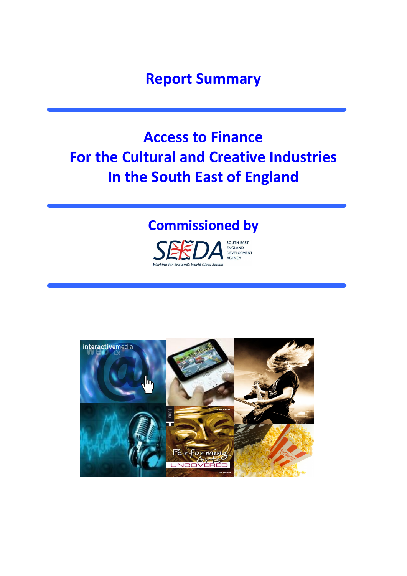**Report Summary**

# **Access to Finance For the Cultural and Creative Industries In the South East of England**

# **Commissioned by**



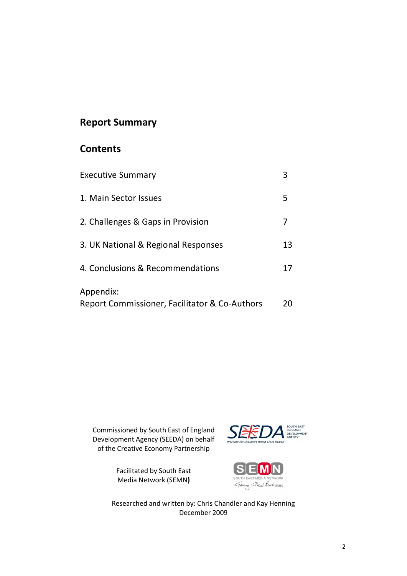## **Report Summary**

## **Contents**

| <b>Executive Summary</b>                                   | 3  |
|------------------------------------------------------------|----|
| 1. Main Sector Issues                                      | 5  |
| 2. Challenges & Gaps in Provision                          | 7  |
| 3. UK National & Regional Responses                        | 13 |
| 4. Conclusions & Recommendations                           | 17 |
| Appendix:<br>Report Commissioner, Facilitator & Co-Authors | 20 |

Commissioned by South East of England Development Agency (SEEDA) on behalf of the Creative Economy Partnership





*Growing Global* Businesses

Researched and written by: Chris Chandler and Kay Henning December 2009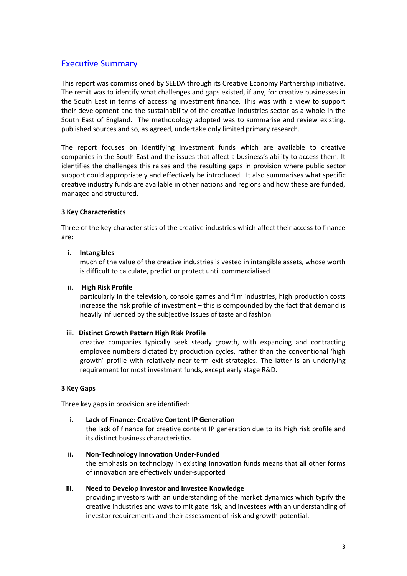### Executive Summary

This report was commissioned by SEEDA through its Creative Economy Partnership initiative. The remit was to identify what challenges and gaps existed, if any, for creative businesses in the South East in terms of accessing investment finance. This was with a view to support their development and the sustainability of the creative industries sector as a whole in the South East of England. The methodology adopted was to summarise and review existing, published sources and so, as agreed, undertake only limited primary research.

The report focuses on identifying investment funds which are available to creative companies in the South East and the issues that affect a business's ability to access them. It identifies the challenges this raises and the resulting gaps in provision where public sector support could appropriately and effectively be introduced. It also summarises what specific creative industry funds are available in other nations and regions and how these are funded, managed and structured.

#### **3 Key Characteristics**

Three of the key characteristics of the creative industries which affect their access to finance are:

#### i. **Intangibles**

much of the value of the creative industries is vested in intangible assets, whose worth is difficult to calculate, predict or protect until commercialised

#### ii. **High Risk Profile**

particularly in the television, console games and film industries, high production costs increase the risk profile of investment – this is compounded by the fact that demand is heavily influenced by the subjective issues of taste and fashion

#### **iii. Distinct Growth Pattern High Risk Profile**

creative companies typically seek steady growth, with expanding and contracting employee numbers dictated by production cycles, rather than the conventional 'high growth' profile with relatively near-term exit strategies. The latter is an underlying requirement for most investment funds, except early stage R&D.

#### **3 Key Gaps**

Three key gaps in provision are identified:

- **i. Lack of Finance: Creative Content IP Generation** the lack of finance for creative content IP generation due to its high risk profile and its distinct business characteristics
- **ii. Non‐Technology Innovation Under‐Funded** the emphasis on technology in existing innovation funds means that all other forms of innovation are effectively under‐supported

#### **iii. Need to Develop Investor and Investee Knowledge**

providing investors with an understanding of the market dynamics which typify the creative industries and ways to mitigate risk, and investees with an understanding of investor requirements and their assessment of risk and growth potential.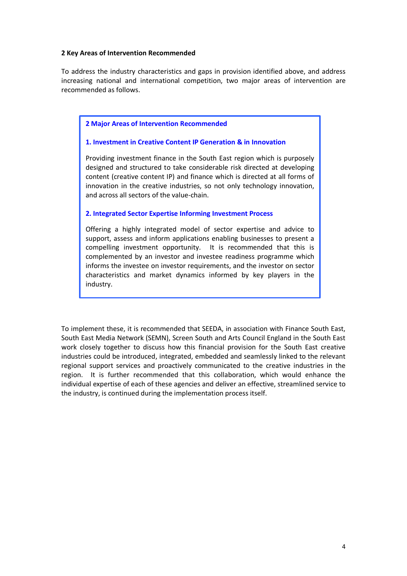#### **2 Key Areas of Intervention Recommended**

To address the industry characteristics and gaps in provision identified above, and address increasing national and international competition, two major areas of intervention are recommended as follows.

#### **2 Major Areas of Intervention Recommended**

#### **1. Investment in Creative Content IP Generation & in Innovation**

Providing investment finance in the South East region which is purposely designed and structured to take considerable risk directed at developing content (creative content IP) and finance which is directed at all forms of innovation in the creative industries, so not only technology innovation, and across all sectors of the value‐chain.

#### **2. Integrated Sector Expertise Informing Investment Process**

Offering a highly integrated model of sector expertise and advice to support, assess and inform applications enabling businesses to present a compelling investment opportunity. It is recommended that this is complemented by an investor and investee readiness programme which informs the investee on investor requirements, and the investor on sector characteristics and market dynamics informed by key players in the industry.

To implement these, it is recommended that SEEDA, in association with Finance South East, South East Media Network (SEMN), Screen South and Arts Council England in the South East work closely together to discuss how this financial provision for the South East creative industries could be introduced, integrated, embedded and seamlessly linked to the relevant regional support services and proactively communicated to the creative industries in the region. It is further recommended that this collaboration, which would enhance the individual expertise of each of these agencies and deliver an effective, streamlined service to the industry, is continued during the implementation process itself.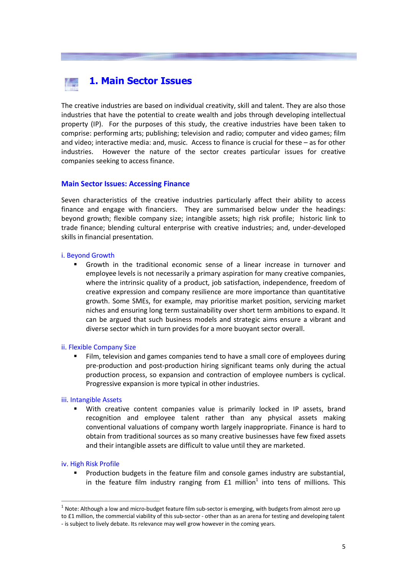# **1. Main Sector Issues**

The creative industries are based on individual creativity, skill and talent. They are also those industries that have the potential to create wealth and jobs through developing intellectual property (IP). For the purposes of this study, the creative industries have been taken to comprise: performing arts; publishing; television and radio; computer and video games; film and video; interactive media: and, music. Access to finance is crucial for these – as for other industries. However the nature of the sector creates particular issues for creative companies seeking to access finance.

#### **Main Sector Issues: Accessing Finance**

Seven characteristics of the creative industries particularly affect their ability to access finance and engage with financiers. They are summarised below under the headings: beyond growth; flexible company size; intangible assets; high risk profile; historic link to trade finance; blending cultural enterprise with creative industries; and, under‐developed skills in financial presentation.

#### i. Beyond Growth

ß Growth in the traditional economic sense of a linear increase in turnover and employee levels is not necessarily a primary aspiration for many creative companies, where the intrinsic quality of a product, job satisfaction, independence, freedom of creative expression and company resilience are more importance than quantitative growth. Some SMEs, for example, may prioritise market position, servicing market niches and ensuring long term sustainability over short term ambitions to expand. It can be argued that such business models and strategic aims ensure a vibrant and diverse sector which in turn provides for a more buoyant sector overall.

#### ii. Flexible Company Size

ß Film, television and games companies tend to have a small core of employees during pre‐production and post‐production hiring significant teams only during the actual production process, so expansion and contraction of employee numbers is cyclical. Progressive expansion is more typical in other industries.

#### iii. Intangible Assets

With creative content companies value is primarily locked in IP assets, brand recognition and employee talent rather than any physical assets making conventional valuations of company worth largely inappropriate. Finance is hard to obtain from traditional sources as so many creative businesses have few fixed assets and their intangible assets are difficult to value until they are marketed.

#### iv. High Risk Profile

ß Production budgets in the feature film and console games industry are substantial, in the feature film industry ranging from  $£1$  million<sup>1</sup> into tens of millions. This

 $1$  Note: Although a low and micro-budget feature film sub-sector is emerging, with budgets from almost zero up

to £1 million, the commercial viability of this sub-sector - other than as an arena for testing and developing talent ‐ is subject to lively debate. Its relevance may well grow however in the coming years.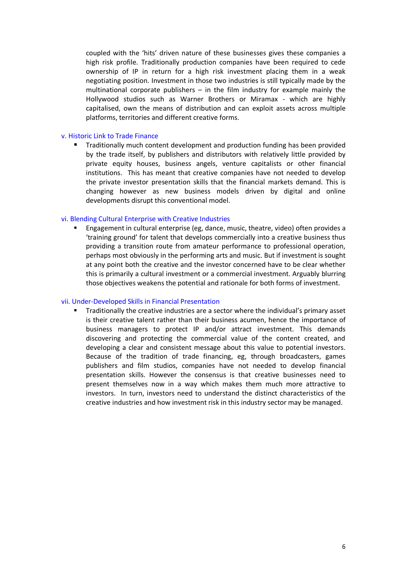coupled with the 'hits' driven nature of these businesses gives these companies a high risk profile. Traditionally production companies have been required to cede ownership of IP in return for a high risk investment placing them in a weak negotiating position. Investment in those two industries is still typically made by the multinational corporate publishers  $-$  in the film industry for example mainly the Hollywood studios such as Warner Brothers or Miramax ‐ which are highly capitalised, own the means of distribution and can exploit assets across multiple platforms, territories and different creative forms.

#### v. Historic Link to Trade Finance

ß Traditionally much content development and production funding has been provided by the trade itself, by publishers and distributors with relatively little provided by private equity houses, business angels, venture capitalists or other financial institutions. This has meant that creative companies have not needed to develop the private investor presentation skills that the financial markets demand. This is changing however as new business models driven by digital and online developments disrupt this conventional model.

#### vi. Blending Cultural Enterprise with Creative Industries

ß Engagement in cultural enterprise (eg, dance, music, theatre, video) often provides a 'training ground' for talent that develops commercially into a creative business thus providing a transition route from amateur performance to professional operation, perhaps most obviously in the performing arts and music. But if investment is sought at any point both the creative and the investor concerned have to be clear whether this is primarily a cultural investment or a commercial investment. Arguably blurring those objectives weakens the potential and rationale for both forms of investment.

#### vii. Under‐Developed Skills in Financial Presentation

ß Traditionally the creative industries are a sector where the individual's primary asset is their creative talent rather than their business acumen, hence the importance of business managers to protect IP and/or attract investment. This demands discovering and protecting the commercial value of the content created, and developing a clear and consistent message about this value to potential investors. Because of the tradition of trade financing, eg, through broadcasters, games publishers and film studios, companies have not needed to develop financial presentation skills. However the consensus is that creative businesses need to present themselves now in a way which makes them much more attractive to investors. In turn, investors need to understand the distinct characteristics of the creative industries and how investment risk in this industry sector may be managed.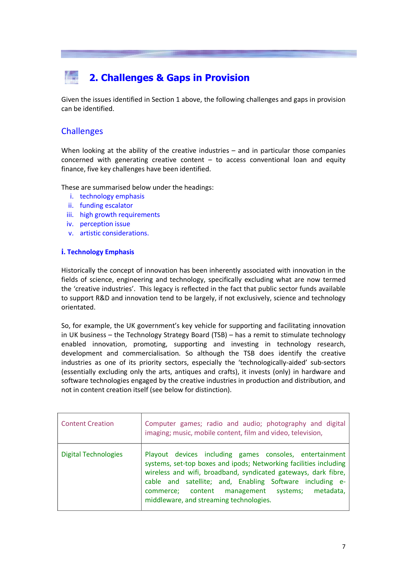# **2. Challenges & Gaps in Provision**

Given the issues identified in Section 1 above, the following challenges and gaps in provision can be identified.

### **Challenges**

When looking at the ability of the creative industries – and in particular those companies concerned with generating creative content  $-$  to access conventional loan and equity finance, five key challenges have been identified.

These are summarised below under the headings:

- i. technology emphasis
- ii. funding escalator
- iii. high growth requirements
- iv. perception issue
- v. artistic considerations.

#### **i. Technology Emphasis**

Historically the concept of innovation has been inherently associated with innovation in the fields of science, engineering and technology, specifically excluding what are now termed the 'creative industries'. This legacy is reflected in the fact that public sector funds available to support R&D and innovation tend to be largely, if not exclusively, science and technology orientated.

So, for example, the UK government's key vehicle for supporting and facilitating innovation in UK business – the Technology Strategy Board (TSB) – has a remit to stimulate technology enabled innovation, promoting, supporting and investing in technology research, development and commercialisation. So although the TSB does identify the creative industries as one of its priority sectors, especially the 'technologically‐aided' sub‐sectors (essentially excluding only the arts, antiques and crafts), it invests (only) in hardware and software technologies engaged by the creative industries in production and distribution, and not in content creation itself (see below for distinction).

| <b>Content Creation</b>     | Computer games; radio and audio; photography and digital<br>imaging; music, mobile content, film and video, television,                                                                                                                                                                                                                                  |
|-----------------------------|----------------------------------------------------------------------------------------------------------------------------------------------------------------------------------------------------------------------------------------------------------------------------------------------------------------------------------------------------------|
| <b>Digital Technologies</b> | Playout devices including games consoles, entertainment<br>systems, set-top boxes and ipods; Networking facilities including<br>wireless and wifi, broadband, syndicated gateways, dark fibre,<br>cable and satellite; and, Enabling Software including e-<br>commerce; content management systems; metadata,<br>middleware, and streaming technologies. |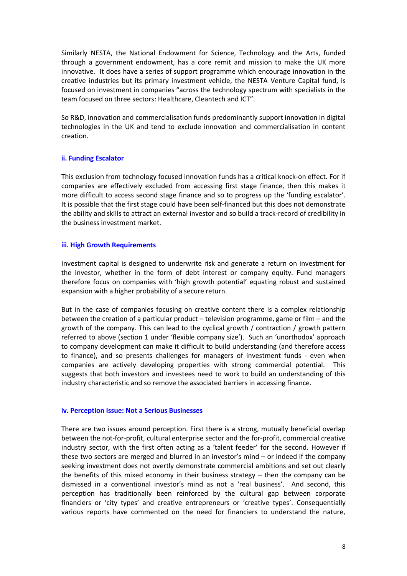Similarly NESTA, the National Endowment for Science, Technology and the Arts, funded through a government endowment, has a core remit and mission to make the UK more innovative. It does have a series of support programme which encourage innovation in the creative industries but its primary investment vehicle, the NESTA Venture Capital fund, is focused on investment in companies "across the technology spectrum with specialists in the team focused on three sectors: Healthcare, Cleantech and ICT".

So R&D, innovation and commercialisation funds predominantly support innovation in digital technologies in the UK and tend to exclude innovation and commercialisation in content creation.

#### **ii. Funding Escalator**

This exclusion from technology focused innovation funds has a critical knock‐on effect. For if companies are effectively excluded from accessing first stage finance, then this makes it more difficult to access second stage finance and so to progress up the 'funding escalator'. It is possible that the first stage could have been self‐financed but this does not demonstrate the ability and skills to attract an external investor and so build a track‐record of credibility in the business investment market.

#### **iii. High Growth Requirements**

Investment capital is designed to underwrite risk and generate a return on investment for the investor, whether in the form of debt interest or company equity. Fund managers therefore focus on companies with 'high growth potential' equating robust and sustained expansion with a higher probability of a secure return.

But in the case of companies focusing on creative content there is a complex relationship between the creation of a particular product – television programme, game or film – and the growth of the company. This can lead to the cyclical growth / contraction / growth pattern referred to above (section 1 under 'flexible company size'). Such an 'unorthodox' approach to company development can make it difficult to build understanding (and therefore access to finance), and so presents challenges for managers of investment funds - even when companies are actively developing properties with strong commercial potential. This suggests that both investors and investees need to work to build an understanding of this industry characteristic and so remove the associated barriers in accessing finance.

#### **iv. Perception Issue: Not a Serious Businesses**

There are two issues around perception. First there is a strong, mutually beneficial overlap between the not-for-profit, cultural enterprise sector and the for-profit, commercial creative industry sector, with the first often acting as a 'talent feeder' for the second. However if these two sectors are merged and blurred in an investor's mind – or indeed if the company seeking investment does not overtly demonstrate commercial ambitions and set out clearly the benefits of this mixed economy in their business strategy  $-$  then the company can be dismissed in a conventional investor's mind as not a 'real business'. And second, this perception has traditionally been reinforced by the cultural gap between corporate financiers or 'city types' and creative entrepreneurs or 'creative types'. Consequentially various reports have commented on the need for financiers to understand the nature,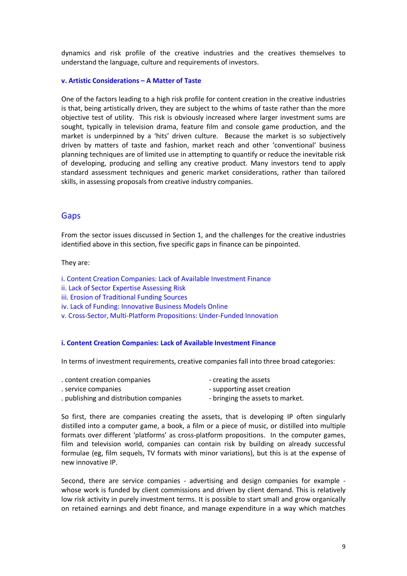dynamics and risk profile of the creative industries and the creatives themselves to understand the language, culture and requirements of investors.

#### **v. Artistic Considerations – A Matter of Taste**

One of the factors leading to a high risk profile for content creation in the creative industries is that, being artistically driven, they are subject to the whims of taste rather than the more objective test of utility. This risk is obviously increased where larger investment sums are sought, typically in television drama, feature film and console game production, and the market is underpinned by a 'hits' driven culture. Because the market is so subjectively driven by matters of taste and fashion, market reach and other 'conventional' business planning techniques are of limited use in attempting to quantify or reduce the inevitable risk of developing, producing and selling any creative product. Many investors tend to apply standard assessment techniques and generic market considerations, rather than tailored skills, in assessing proposals from creative industry companies.

#### Gaps

From the sector issues discussed in Section 1, and the challenges for the creative industries identified above in this section, five specific gaps in finance can be pinpointed.

#### They are:

i. Content Creation Companies: Lack of Available Investment Finance

- ii. Lack of Sector Expertise Assessing Risk
- iii. Erosion of Traditional Funding Sources
- iv. Lack of Funding: Innovative Business Models Online

v. Cross‐Sector, Multi‐Platform Propositions: Under‐Funded Innovation

#### **i. Content Creation Companies: Lack of Available Investment Finance**

In terms of investment requirements, creative companies fall into three broad categories:

| . content creation companies            | - creating the assets            |
|-----------------------------------------|----------------------------------|
| . service companies                     | - supporting asset creation      |
| . publishing and distribution companies | - bringing the assets to market. |

So first, there are companies creating the assets, that is developing IP often singularly distilled into a computer game, a book, a film or a piece of music, or distilled into multiple formats over different 'platforms' as cross-platform propositions. In the computer games, film and television world, companies can contain risk by building on already successful formulae (eg, film sequels, TV formats with minor variations), but this is at the expense of new innovative IP.

Second, there are service companies - advertising and design companies for example whose work is funded by client commissions and driven by client demand. This is relatively low risk activity in purely investment terms. It is possible to start small and grow organically on retained earnings and debt finance, and manage expenditure in a way which matches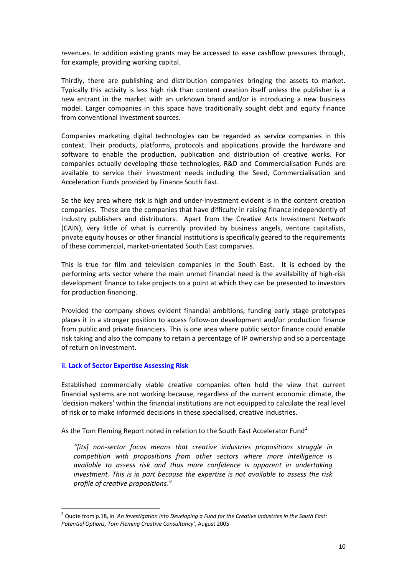revenues. In addition existing grants may be accessed to ease cashflow pressures through, for example, providing working capital.

Thirdly, there are publishing and distribution companies bringing the assets to market. Typically this activity is less high risk than content creation itself unless the publisher is a new entrant in the market with an unknown brand and/or is introducing a new business model. Larger companies in this space have traditionally sought debt and equity finance from conventional investment sources.

Companies marketing digital technologies can be regarded as service companies in this context. Their products, platforms, protocols and applications provide the hardware and software to enable the production, publication and distribution of creative works. For companies actually developing those technologies, R&D and Commercialisation Funds are available to service their investment needs including the Seed, Commercialisation and Acceleration Funds provided by Finance South East.

So the key area where risk is high and under-investment evident is in the content creation companies. These are the companies that have difficulty in raising finance independently of industry publishers and distributors. Apart from the Creative Arts Investment Network (CAIN), very little of what is currently provided by business angels, venture capitalists, private equity houses or other financial institutions is specifically geared to the requirements of these commercial, market‐orientated South East companies.

This is true for film and television companies in the South East. It is echoed by the performing arts sector where the main unmet financial need is the availability of high-risk development finance to take projects to a point at which they can be presented to investors for production financing.

Provided the company shows evident financial ambitions, funding early stage prototypes places it in a stronger position to access follow‐on development and/or production finance from public and private financiers. This is one area where public sector finance could enable risk taking and also the company to retain a percentage of IP ownership and so a percentage of return on investment.

#### **ii. Lack of Sector Expertise Assessing Risk**

Established commercially viable creative companies often hold the view that current financial systems are not working because, regardless of the current economic climate, the 'decision makers' within the financial institutions are not equipped to calculate the real level of risk or to make informed decisions in these specialised, creative industries.

As the Tom Fleming Report noted in relation to the South East Accelerator Fund<sup>2</sup>

*"[its] non‐sector focus means that creative industries propositions struggle in competition with propositions from other sectors where more intelligence is available to assess risk and thus more confidence is apparent in undertaking investment. This is in part because the expertise is not available to assess the risk profile of creative propositions."*

<sup>2</sup> Quote from p.18, in *'An Investigation into Developing a Fund for the Creative Industries in the South East: Potential Options, Tom Fleming Creative Consultancy'*, August 2005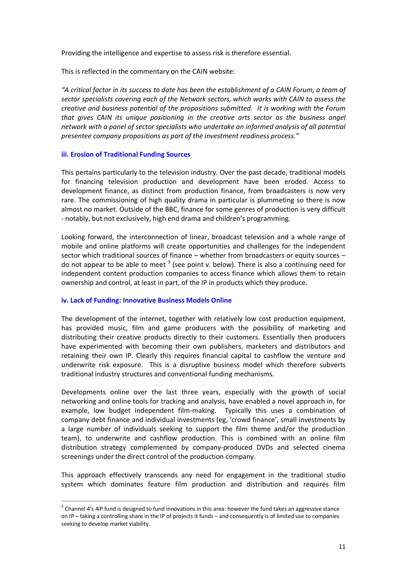Providing the intelligence and expertise to assess risk is therefore essential.

This is reflected in the commentary on the CAIN website:

*"A critical factor in its success to date has been the establishment of a CAIN Forum, a team of sector specialists covering each of the Network sectors, which works with CAIN to assess the creative and business potential of the propositions submitted. It is working with the Forum that gives CAIN its unique positioning in the creative arts sector as the business angel network with a panel of sector specialists who undertake an informed analysis of all potential presentee company propositions as part of the investment readiness process."*

#### **iii. Erosion of Traditional Funding Sources**

This pertains particularly to the television industry. Over the past decade, traditional models for financing television production and development have been eroded. Access to development finance, as distinct from production finance, from broadcasters is now very rare. The commissioning of high quality drama in particular is plummeting so there is now almost no market. Outside of the BBC, finance for some genres of production is very difficult ‐ notably, but not exclusively, high end drama and children's programming.

Looking forward, the interconnection of linear, broadcast television and a whole range of mobile and online platforms will create opportunities and challenges for the independent sector which traditional sources of finance – whether from broadcasters or equity sources – do not appear to be able to meet  $3$  (see point v. below). There is also a continuing need for independent content production companies to access finance which allows them to retain ownership and control, at least in part, of the IP in products which they produce.

#### **iv. Lack of Funding: Innovative Business Models Online**

The development of the internet, together with relatively low cost production equipment, has provided music, film and game producers with the possibility of marketing and distributing their creative products directly to their customers. Essentially then producers have experimented with becoming their own publishers, marketers and distributors and retaining their own IP. Clearly this requires financial capital to cashflow the venture and underwrite risk exposure. This is a disruptive business model which therefore subverts traditional industry structures and conventional funding mechanisms.

Developments online over the last three years, especially with the growth of social networking and online tools for tracking and analysis, have enabled a novel approach in, for example, low budget independent film‐making. Typically this uses a combination of company debt finance and individual investments (eg, 'crowd finance', small investments by a large number of individuals seeking to support the film theme and/or the production team), to underwrite and cashflow production. This is combined with an online film distribution strategy complemented by company‐produced DVDs and selected cinema screenings under the direct control of the production company.

This approach effectively transcends any need for engagement in the traditional studio system which dominates feature film production and distribution and requires film

 $3$  Channel 4's 4iP fund is designed to fund innovations in this area: however the fund takes an aggressive stance on IP – taking a controlling share in the IP of projects it funds – and consequently is of limited use to companies seeking to develop market viability.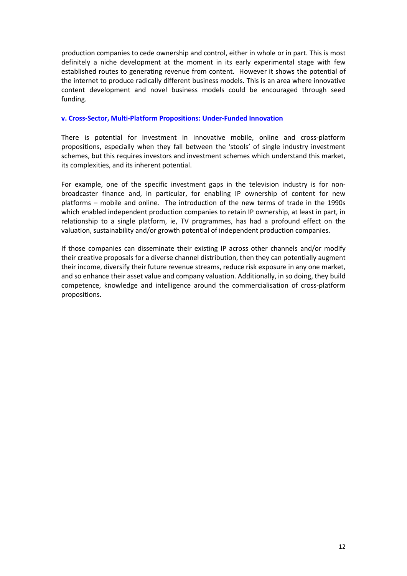production companies to cede ownership and control, either in whole or in part. This is most definitely a niche development at the moment in its early experimental stage with few established routes to generating revenue from content. However it shows the potential of the internet to produce radically different business models. This is an area where innovative content development and novel business models could be encouraged through seed funding.

#### **v. Cross‐Sector, Multi‐Platform Propositions: Under‐Funded Innovation**

There is potential for investment in innovative mobile, online and cross-platform propositions, especially when they fall between the 'stools' of single industry investment schemes, but this requires investors and investment schemes which understand this market, its complexities, and its inherent potential.

For example, one of the specific investment gaps in the television industry is for nonbroadcaster finance and, in particular, for enabling IP ownership of content for new platforms – mobile and online. The introduction of the new terms of trade in the 1990s which enabled independent production companies to retain IP ownership, at least in part, in relationship to a single platform, ie, TV programmes, has had a profound effect on the valuation, sustainability and/or growth potential of independent production companies.

If those companies can disseminate their existing IP across other channels and/or modify their creative proposals for a diverse channel distribution, then they can potentially augment their income, diversify their future revenue streams, reduce risk exposure in any one market, and so enhance their asset value and company valuation. Additionally, in so doing, they build competence, knowledge and intelligence around the commercialisation of cross‐platform propositions.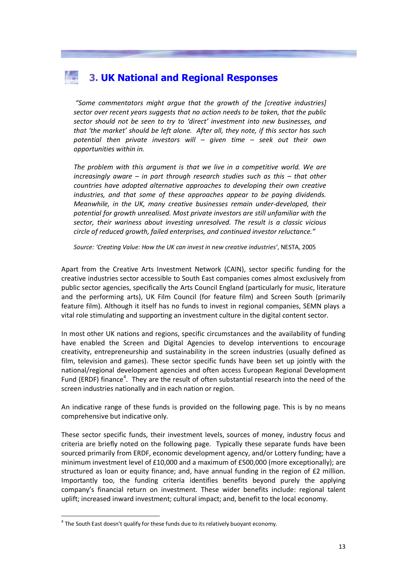## **3. UK National and Regional Responses**

*"Some commentators might argue that the growth of the [creative industries] sector over recent years suggests that no action needs to be taken, that the public sector should not be seen to try to 'direct' investment into new businesses, and that 'the market' should be left alone. After all, they note, if this sector has such potential then private investors will – given time – seek out their own opportunities within in.*

*The problem with this argument is that we live in a competitive world. We are increasingly aware – in part through research studies such as this – that other countries have adopted alternative approaches to developing their own creative industries, and that some of these approaches appear to be paying dividends. Meanwhile, in the UK, many creative businesses remain under‐developed, their potential for growth unrealised. Most private investors are still unfamiliar with the sector, their wariness about investing unresolved. The result is a classic vicious circle of reduced growth, failed enterprises, and continued investor reluctance."* 

*Source: 'Creating Value: How the UK can invest in new creative industries'*, NESTA, 2005

Apart from the Creative Arts Investment Network (CAIN), sector specific funding for the creative industries sector accessible to South East companies comes almost exclusively from public sector agencies, specifically the Arts Council England (particularly for music, literature and the performing arts), UK Film Council (for feature film) and Screen South (primarily feature film). Although it itself has no funds to invest in regional companies, SEMN plays a vital role stimulating and supporting an investment culture in the digital content sector.

In most other UK nations and regions, specific circumstances and the availability of funding have enabled the Screen and Digital Agencies to develop interventions to encourage creativity, entrepreneurship and sustainability in the screen industries (usually defined as film, television and games). These sector specific funds have been set up jointly with the national/regional development agencies and often access European Regional Development Fund (ERDF) finance<sup>4</sup>. They are the result of often substantial research into the need of the screen industries nationally and in each nation or region.

An indicative range of these funds is provided on the following page. This is by no means comprehensive but indicative only.

These sector specific funds, their investment levels, sources of money, industry focus and criteria are briefly noted on the following page. Typically these separate funds have been sourced primarily from ERDF, economic development agency, and/or Lottery funding; have a minimum investment level of £10,000 and a maximum of £500,000 (more exceptionally); are structured as loan or equity finance; and, have annual funding in the region of £2 million. Importantly too, the funding criteria identifies benefits beyond purely the applying company's financial return on investment. These wider benefits include: regional talent uplift; increased inward investment; cultural impact; and, benefit to the local economy.

 $4$  The South East doesn't qualify for these funds due to its relatively buoyant economy.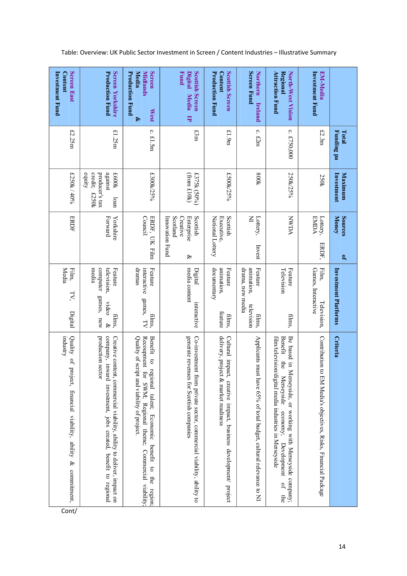|                                                                                         | Total                          | Maximum                                                                  | Sources<br>L,                                                          |                                                                                               |                                                                                                                                                                                                                                |
|-----------------------------------------------------------------------------------------|--------------------------------|--------------------------------------------------------------------------|------------------------------------------------------------------------|-----------------------------------------------------------------------------------------------|--------------------------------------------------------------------------------------------------------------------------------------------------------------------------------------------------------------------------------|
|                                                                                         | Funding pa                     | Investment                                                               | Money                                                                  | Investment Platforms                                                                          | <b>Criteria</b>                                                                                                                                                                                                                |
| <b>Investment Fund</b><br>EM-Media                                                      | f2.3m                          | 250k                                                                     | <b>EMDA</b><br>Lottery,<br>ERDF,                                       | Games, Interactive<br>Film<br><b>Television</b> ,                                             | Contribution to<br>EM Media's objectives, Risks, Financial Package                                                                                                                                                             |
| North-West Vision<br><b>Attraction Fund</b><br>Regional                                 | $\mathbf{\dot{c}}$<br>£750,000 | 250k/25%                                                                 | <b>NANDA</b>                                                           | ${\rm Feature}$<br>Television<br>films,                                                       | film/television/digital media industries in Merseyside<br>Be based in N<br>Benefit<br>$\mathop{\mbox{\rm the}}\nolimits$<br>Merseyside<br>Ierseyside, or working with Merseyside company;<br>economy;<br>Development<br>q<br>₿ |
| <b>Northern</b><br><b>Screen Fund</b><br><b>Ireland</b>                                 | $c.$ £2m                       | 800k                                                                     | $\leq$<br>Lottery,<br>Invest                                           | anımatıon,<br>Feature<br>drama, new media<br>television<br>films,                             | Applicants must have 65% of total budget, cultural relevance to NI                                                                                                                                                             |
| <b>Scottish Screen</b><br><b>Production Fund</b><br>Content                             | £1.9m                          | £500k/25%                                                                | Scottish<br>National Lottery<br><b>Executive</b> .                     | documentary<br>anımatıon,<br>${\rm Feature}$<br>feature<br>films,                             | delivery, project & market readiness<br>Cultural impact, creative impact, business development/ project                                                                                                                        |
| <b>Scottish Screen</b><br><b>Fund</b><br><b>Digital</b><br><b>Media</b><br>Ę            | f3m                            | £375k (50%)<br>(from f10k)                                               | Scotland<br>Scottish<br>Innovation Fund<br>Creative<br>Enterprise<br>& | media content<br>Digital<br>interactive                                                       | generate revenues for Scottish companies<br>Co-investment<br>from private sector, commercial viability, ability to                                                                                                             |
| <b>Screen</b><br><b>Media</b><br><b>Midlands</b><br><b>Production Fund</b><br>West<br>ధ | $\mathbf{c}$<br>f1.5m          | £300k/25%                                                                | Council<br>ERDF, UK Film                                               | dramas<br>Feature<br>interactive<br>games, TV<br>films,                                       | Recoupment for SWM; Regional theme; Commercial viability;<br>Benefit to regional talent; Economic<br>Quality of script and viability of project.<br>benefit to<br>the<br>region                                                |
| Screen Yorkshire<br><b>Production Fund</b>                                              | £1.25m                         | credit;<br>against<br>equity<br>producer's tax<br>£600k<br>£250k<br>loan | Forward<br>Yorkshire                                                   | computer<br>media<br>television,<br>Feature<br>games, new<br>video<br>films,<br>$\mathscr{E}$ | production sector<br>company, inward investment, jobs created, benefit to regional<br>Creative content, commercial viability, ability to deliver, impact on                                                                    |
| Screen East<br><b>Content</b><br><b>Investment Fund</b>                                 | f2.25m                         | £250k / 40%                                                              | ERDF                                                                   | Media<br>Film,<br>FY,<br>Digital                                                              | rndustry<br>Quality of<br>project, financial viability, ability<br>$\otimes$<br>commitment,                                                                                                                                    |

Table: Overview: UK Public Sector Investment in Screen / Content Industries – Illustrative Summary

Cont/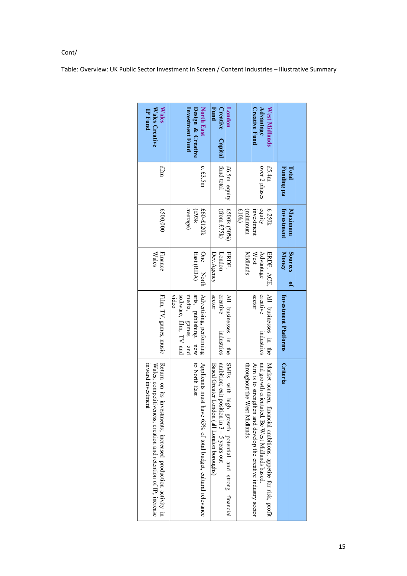| Table: Overview: UK Public Sector Investment in Screen / Content Industries - Illustrative Summary |  |
|----------------------------------------------------------------------------------------------------|--|
|----------------------------------------------------------------------------------------------------|--|

| Wales Creative<br><b>Wales</b><br><b>IP Fund</b><br>f2m                                                                                               | North East<br>Investment Fund<br>Design & Creative<br>c. $£3.5m$                                           | <b>Fund</b><br>London<br>Creative<br>Capital<br>fund total                                                                                          | <b>Creative Fund</b><br>Advantage<br>West Midlands<br>£5.4m                                                                                                                                                      | Funding pa<br>Total    |
|-------------------------------------------------------------------------------------------------------------------------------------------------------|------------------------------------------------------------------------------------------------------------|-----------------------------------------------------------------------------------------------------------------------------------------------------|------------------------------------------------------------------------------------------------------------------------------------------------------------------------------------------------------------------|------------------------|
|                                                                                                                                                       |                                                                                                            | £6.5m equity                                                                                                                                        | over 2 phases                                                                                                                                                                                                    |                        |
| £500,000                                                                                                                                              | average)<br>£60-£120k<br>7£63}                                                                             | £500k (50%)<br>(from £75k)                                                                                                                          | cquity<br>investment<br>£250k<br>610k<br>tunuunuu                                                                                                                                                                | Maximum<br>Investment  |
| Finance<br>Wales                                                                                                                                      | One North<br>East (RDA)                                                                                    | London<br>Dev.Agency<br>ERDF,                                                                                                                       | Midlands<br>Advantage<br>ERDF, ACE,<br>West                                                                                                                                                                      | Sources<br>Money<br>۹, |
| Film, TV, games, music                                                                                                                                | software, film, TV and<br>arts, publishing, new<br>Advertising, performing<br>video<br>media, games<br>pue | sector<br>creative<br>All businesses in the<br>industries                                                                                           | sector<br>All businesses in the<br>creative<br>industries                                                                                                                                                        | Investment Platforms   |
| Return on its investments; increased production activity in<br>inward investment<br>Wales; competitiveness; creation and retention of $IP$ ; increase | Applicants must have 65% of total budget, cultural relevance<br>to North East                              | ambition; exit position in $3-5$ years out<br>SMEs with high<br>Based Greater London (all London boroughs)<br>growth potential and strong financial | and growth orientated. Be West Midlands based<br>throughout the West Midlands.<br>Aim is to strengthen and develop the creative industry sector<br>Market acumen, financial ambitions, appetite for risk, profit | <b>Criteria</b>        |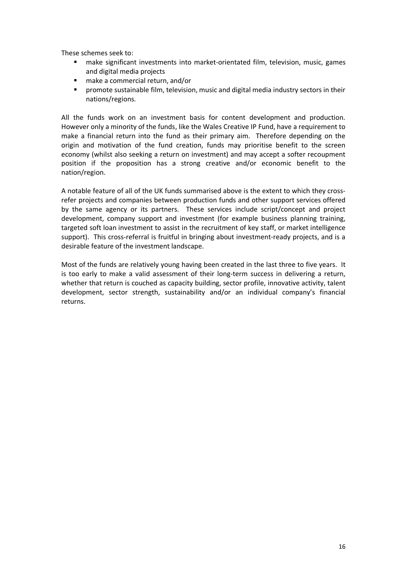These schemes seek to:

- make significant investments into market-orientated film, television, music, games and digital media projects
- make a commercial return, and/or
- **•** promote sustainable film, television, music and digital media industry sectors in their nations/regions.

All the funds work on an investment basis for content development and production. However only a minority of the funds, like the Wales Creative IP Fund, have a requirement to make a financial return into the fund as their primary aim. Therefore depending on the origin and motivation of the fund creation, funds may prioritise benefit to the screen economy (whilst also seeking a return on investment) and may accept a softer recoupment position if the proposition has a strong creative and/or economic benefit to the nation/region.

A notable feature of all of the UK funds summarised above is the extent to which they cross‐ refer projects and companies between production funds and other support services offered by the same agency or its partners. These services include script/concept and project development, company support and investment (for example business planning training, targeted soft loan investment to assist in the recruitment of key staff, or market intelligence support). This cross-referral is fruitful in bringing about investment-ready projects, and is a desirable feature of the investment landscape.

Most of the funds are relatively young having been created in the last three to five years. It is too early to make a valid assessment of their long-term success in delivering a return, whether that return is couched as capacity building, sector profile, innovative activity, talent development, sector strength, sustainability and/or an individual company's financial returns.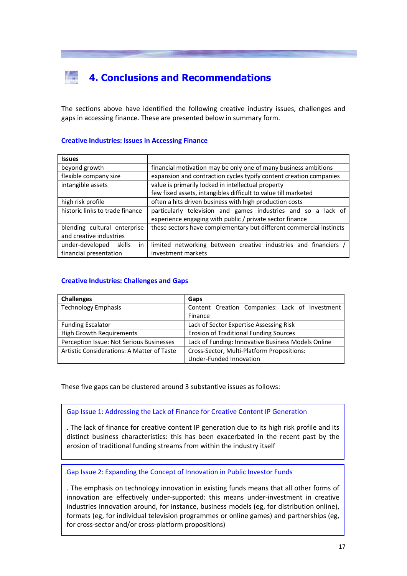# **4. Conclusions and Recommendations**

The sections above have identified the following creative industry issues, challenges and gaps in accessing finance. These are presented below in summary form.

#### **Creative Industries: Issues in Accessing Finance**

| <b>Issues</b>                                                                                                                  |                                                                                                                           |  |
|--------------------------------------------------------------------------------------------------------------------------------|---------------------------------------------------------------------------------------------------------------------------|--|
| beyond growth                                                                                                                  | financial motivation may be only one of many business ambitions                                                           |  |
| flexible company size                                                                                                          | expansion and contraction cycles typify content creation companies                                                        |  |
| intangible assets                                                                                                              | value is primarily locked in intellectual property                                                                        |  |
|                                                                                                                                | few fixed assets, intangibles difficult to value till marketed                                                            |  |
| high risk profile                                                                                                              | often a hits driven business with high production costs                                                                   |  |
| historic links to trade finance                                                                                                | particularly television and games industries and so a lack of<br>experience engaging with public / private sector finance |  |
| these sectors have complementary but different commercial instincts<br>blending cultural enterprise<br>and creative industries |                                                                                                                           |  |
| under-developed skills<br>in.                                                                                                  | limited networking between creative industries and financiers                                                             |  |
| financial presentation                                                                                                         | investment markets                                                                                                        |  |

#### **Creative Industries: Challenges and Gaps**

| <b>Challenges</b>                          | Gaps                                               |
|--------------------------------------------|----------------------------------------------------|
| <b>Technology Emphasis</b>                 | Content Creation Companies: Lack of Investment     |
|                                            | Finance                                            |
| <b>Funding Escalator</b>                   | Lack of Sector Expertise Assessing Risk            |
| <b>High Growth Requirements</b>            | <b>Erosion of Traditional Funding Sources</b>      |
| Perception Issue: Not Serious Businesses   | Lack of Funding: Innovative Business Models Online |
| Artistic Considerations: A Matter of Taste | Cross-Sector, Multi-Platform Propositions:         |
|                                            | Under-Funded Innovation                            |

These five gaps can be clustered around 3 substantive issues as follows:

Gap Issue 1: Addressing the Lack of Finance for Creative Content IP Generation

. The lack of finance for creative content IP generation due to its high risk profile and its distinct business characteristics: this has been exacerbated in the recent past by the erosion of traditional funding streams from within the industry itself

Gap Issue 2: Expanding the Concept of Innovation in Public Investor Funds

. The emphasis on technology innovation in existing funds means that all other forms of innovation are effectively under‐supported: this means under‐investment in creative industries innovation around, for instance, business models (eg, for distribution online), formats (eg, for individual television programmes or online games) and partnerships (eg, for cross‐sector and/or cross‐platform propositions)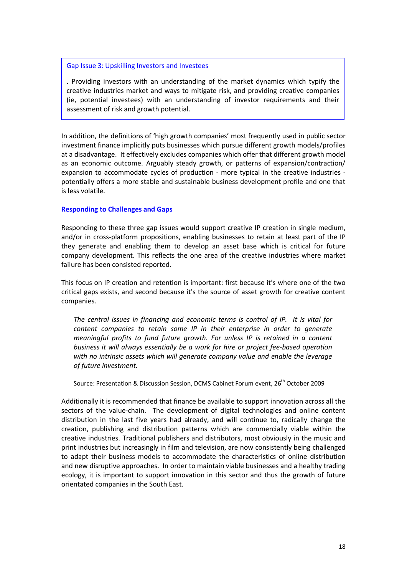#### Gap Issue 3: Upskilling Investors and Investees

. Providing investors with an understanding of the market dynamics which typify the creative industries market and ways to mitigate risk, and providing creative companies (ie, potential investees) with an understanding of investor requirements and their assessment of risk and growth potential.

In addition, the definitions of 'high growth companies' most frequently used in public sector investment finance implicitly puts businesses which pursue different growth models/profiles at a disadvantage. It effectively excludes companies which offer that different growth model as an economic outcome. Arguably steady growth, or patterns of expansion/contraction/ expansion to accommodate cycles of production ‐ more typical in the creative industries ‐ potentially offers a more stable and sustainable business development profile and one that is less volatile.

#### **Responding to Challenges and Gaps**

Responding to these three gap issues would support creative IP creation in single medium, and/or in cross-platform propositions, enabling businesses to retain at least part of the IP they generate and enabling them to develop an asset base which is critical for future company development. This reflects the one area of the creative industries where market failure has been consisted reported.

This focus on IP creation and retention is important: first because it's where one of the two critical gaps exists, and second because it's the source of asset growth for creative content companies.

*The central issues in financing and economic terms is control of IP. It is vital for content companies to retain some IP in their enterprise in order to generate meaningful profits to fund future growth. For unless IP is retained in a content business it will always essentially be a work for hire or project fee‐based operation with no intrinsic assets which will generate company value and enable the leverage of future investment.*

Source: Presentation & Discussion Session, DCMS Cabinet Forum event, 26<sup>th</sup> October 2009

Additionally it is recommended that finance be available to support innovation across all the sectors of the value-chain. The development of digital technologies and online content distribution in the last five years had already, and will continue to, radically change the creation, publishing and distribution patterns which are commercially viable within the creative industries. Traditional publishers and distributors, most obviously in the music and print industries but increasingly in film and television, are now consistently being challenged to adapt their business models to accommodate the characteristics of online distribution and new disruptive approaches. In order to maintain viable businesses and a healthy trading ecology, it is important to support innovation in this sector and thus the growth of future orientated companies in the South East.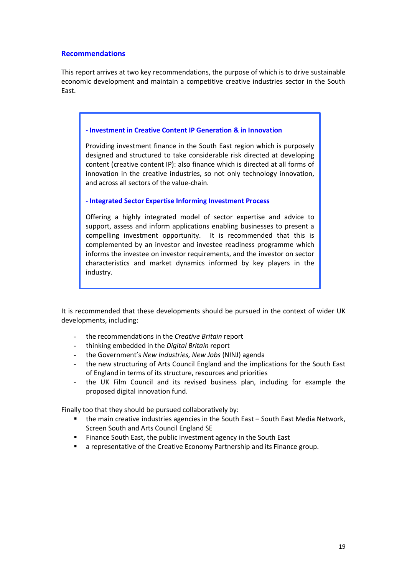#### **Recommendations**

This report arrives at two key recommendations, the purpose of which is to drive sustainable economic development and maintain a competitive creative industries sector in the South East.

#### **‐ Investment in Creative Content IP Generation & in Innovation**

Providing investment finance in the South East region which is purposely designed and structured to take considerable risk directed at developing content (creative content IP): also finance which is directed at all forms of innovation in the creative industries, so not only technology innovation, and across all sectors of the value‐chain.

#### **‐ Integrated Sector Expertise Informing Investment Process**

Offering a highly integrated model of sector expertise and advice to support, assess and inform applications enabling businesses to present a compelling investment opportunity. It is recommended that this is complemented by an investor and investee readiness programme which informs the investee on investor requirements, and the investor on sector characteristics and market dynamics informed by key players in the industry.

It is recommended that these developments should be pursued in the context of wider UK developments, including:

- the recommendations in the *Creative Britain* report
- thinking embedded in the *Digital Britain* report
- the Government's *New Industries, New Jobs* (NINJ) agenda
- the new structuring of Arts Council England and the implications for the South East of England in terms of its structure, resources and priorities
- the UK Film Council and its revised business plan, including for example the proposed digital innovation fund.

Finally too that they should be pursued collaboratively by:

- **•** the main creative industries agencies in the South East South East Media Network, Screen South and Arts Council England SE
- **FILT** Finance South East, the public investment agency in the South East
- **E** a representative of the Creative Economy Partnership and its Finance group.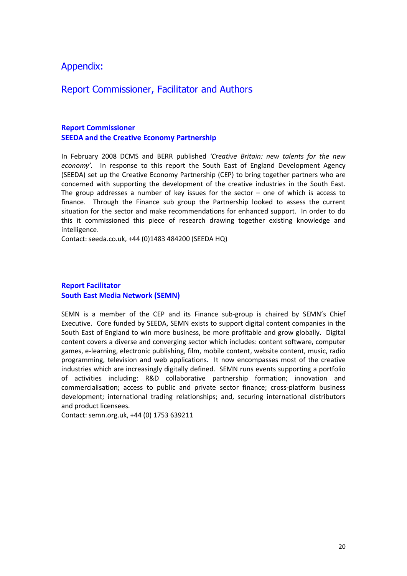### Appendix:

## Report Commissioner, Facilitator and Authors

#### **Report Commissioner SEEDA and the Creative Economy Partnership**

In February 2008 DCMS and BERR published *'Creative Britain: new talents for the new*  economy'. In response to this report the South East of England Development Agency (SEEDA) set up the Creative Economy Partnership (CEP) to bring together partners who are concerned with supporting the development of the creative industries in the South East. The group addresses a number of key issues for the sector  $-$  one of which is access to finance. Through the Finance sub group the Partnership looked to assess the current situation for the sector and make recommendations for enhanced support. In order to do this it commissioned this piece of research drawing together existing knowledge and intelligence.

Contact: seeda.co.uk, +44 (0)1483 484200 (SEEDA HQ)

#### **Report Facilitator South East Media Network (SEMN)**

SEMN is a member of the CEP and its Finance sub-group is chaired by SEMN's Chief Executive. Core funded by SEEDA, SEMN exists to support digital content companies in the South East of England to win more business, be more profitable and grow globally. Digital content covers a diverse and converging sector which includes: content software, computer games, e‐learning, electronic publishing, film, mobile content, website content, music, radio programming, television and web applications. It now encompasses most of the creative industries which are increasingly digitally defined. SEMN runs events supporting a portfolio of activities including: R&D collaborative partnership formation; innovation and commercialisation; access to public and private sector finance; cross-platform business development; international trading relationships; and, securing international distributors and product licensees.

Contact: semn.org.uk, +44 (0) 1753 639211